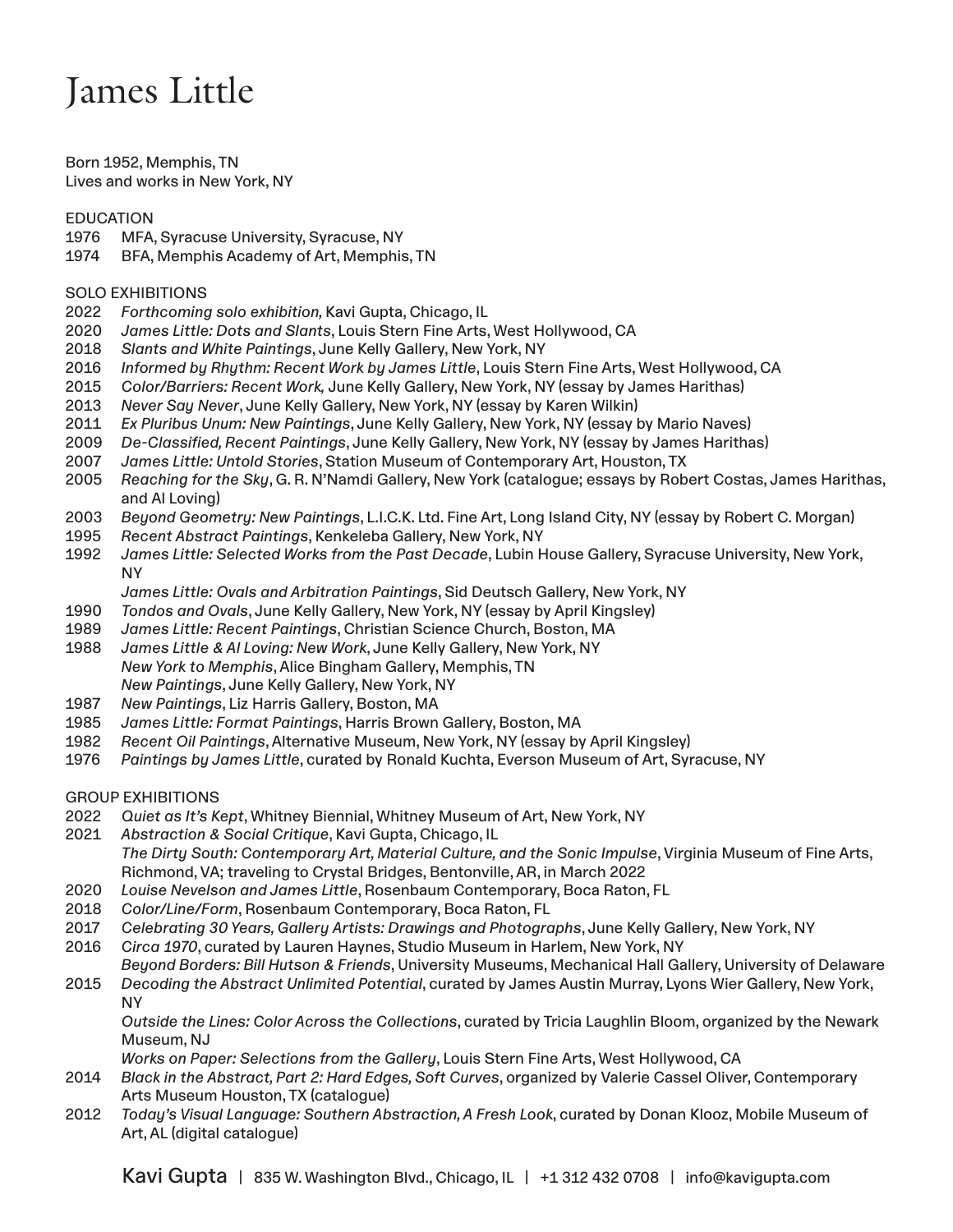## James Little

Born 1952, Memphis, TN Lives and works in New York, NY

## EDUCATION

- 1976 MFA, Syracuse University, Syracuse, NY
- 1974 BFA, Memphis Academy of Art, Memphis, TN

## SOLO EXHIBITIONS

- 2022 *Forthcoming solo exhibition,* Kavi Gupta, Chicago, IL
- 2020 *James Little: Dots and Slants*, Louis Stern Fine Arts, West Hollywood, CA
- 2018 *Slants and White Paintings*, June Kelly Gallery, New York, NY
- 2016 *Informed by Rhythm: Recent Work by James Little*, Louis Stern Fine Arts, West Hollywood, CA
- 2015 *Color/Barriers: Recent Work,* June Kelly Gallery, New York, NY (essay by James Harithas)
- 2013 *Never Say Never*, June Kelly Gallery, New York, NY (essay by Karen Wilkin)
- 2011 *Ex Pluribus Unum: New Paintings*, June Kelly Gallery, New York, NY (essay by Mario Naves)
- 2009 *De-Classified, Recent Paintings*, June Kelly Gallery, New York, NY (essay by James Harithas)
- 2007 *James Little: Untold Stories*, Station Museum of Contemporary Art, Houston, TX
- 2005 *Reaching for the Sky*, G. R. N'Namdi Gallery, New York (catalogue; essays by Robert Costas, James Harithas, and Al Loving)
- 2003 *Beyond Geometry: New Paintings*, L.I.C.K. Ltd. Fine Art, Long Island City, NY (essay by Robert C. Morgan)
- 1995 *Recent Abstract Paintings*, Kenkeleba Gallery, New York, NY
- 1992 *James Little: Selected Works from the Past Decade*, Lubin House Gallery, Syracuse University, New York, NY
	- *James Little: Ovals and Arbitration Paintings*, Sid Deutsch Gallery, New York, NY
- 1990 *Tondos and Ovals*, June Kelly Gallery, New York, NY (essay by April Kingsley)
- 1989 *James Little: Recent Paintings*, Christian Science Church, Boston, MA
- 1988 *James Little & Al Loving: New Work*, June Kelly Gallery, New York, NY *New York to Memphis*, Alice Bingham Gallery, Memphis, TN *New Paintings*, June Kelly Gallery, New York, NY
- 1987 *New Paintings*, Liz Harris Gallery, Boston, MA
- 1985 *James Little: Format Paintings*, Harris Brown Gallery, Boston, MA
- 1982 *Recent Oil Paintings*, Alternative Museum, New York, NY (essay by April Kingsley)
- 1976 *Paintings by James Little*, curated by Ronald Kuchta, Everson Museum of Art, Syracuse, NY

GROUP EXHIBITIONS

- 2022 *Quiet as It's Kept*, Whitney Biennial, Whitney Museum of Art, New York, NY
- 2021 *Abstraction & Social Critique*, Kavi Gupta, Chicago, IL The Dirty South: Contemporary Art, Material Culture, and the Sonic Impulse, Virginia Museum of Fine Arts, Richmond, VA; traveling to Crystal Bridges, Bentonville, AR, in March 2022
- 2020 *Louise Nevelson and James Little*, Rosenbaum Contemporary, Boca Raton, FL
- 2018 *Color/Line/Form*, Rosenbaum Contemporary, Boca Raton, FL
- 2017 *Celebrating 30 Years, Gallery Artists: Drawings and Photographs*, June Kelly Gallery, New York, NY
- 2016 *Circa 1970*, curated by Lauren Haynes, Studio Museum in Harlem, New York, NY
- *Beyond Borders: Bill Hutson & Friends*, University Museums, Mechanical Hall Gallery, University of Delaware 2015 *Decoding the Abstract Unlimited Potential*, curated by James Austin Murray, Lyons Wier Gallery, New York, NY

*Outside the Lines: Color Across the Collections*, curated by Tricia Laughlin Bloom, organized by the Newark Museum, NJ

*Works on Paper: Selections from the Gallery*, Louis Stern Fine Arts, West Hollywood, CA

- 2014 *Black in the Abstract, Part 2: Hard Edges, Soft Curves*, organized by Valerie Cassel Oliver, Contemporary Arts Museum Houston, TX (catalogue)
- 2012 *Today's Visual Language: Southern Abstraction, A Fresh Look*, curated by Donan Klooz, Mobile Museum of Art, AL (digital catalogue)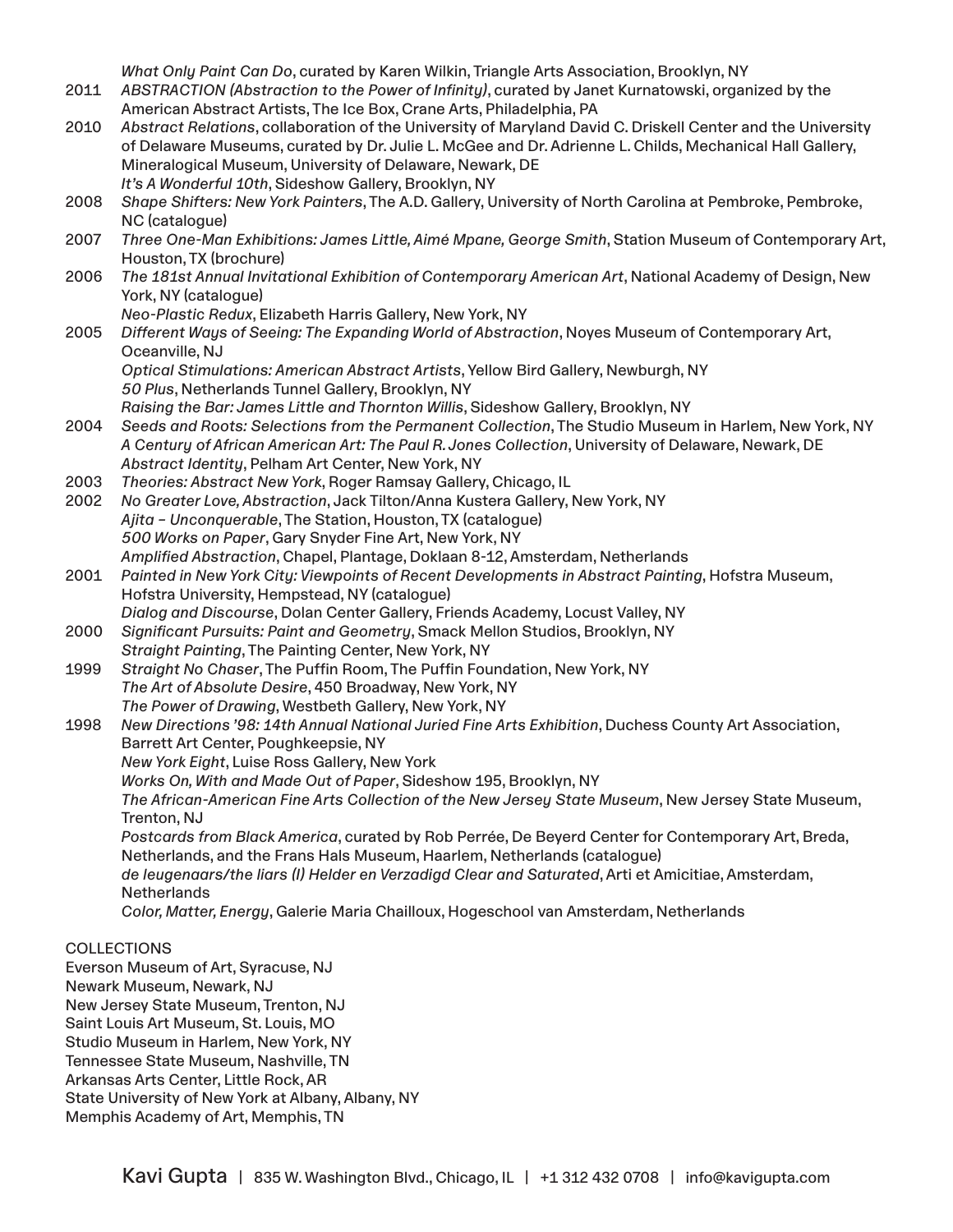*What Only Paint Can Do*, curated by Karen Wilkin, Triangle Arts Association, Brooklyn, NY

- 2011 *ABSTRACTION (Abstraction to the Power of Infinity)*, curated by Janet Kurnatowski, organized by the American Abstract Artists, The Ice Box, Crane Arts, Philadelphia, PA
- 2010 *Abstract Relations*, collaboration of the University of Maryland David C. Driskell Center and the University of Delaware Museums, curated by Dr. Julie L. McGee and Dr. Adrienne L. Childs, Mechanical Hall Gallery, Mineralogical Museum, University of Delaware, Newark, DE *It's A Wonderful 10th*, Sideshow Gallery, Brooklyn, NY
- 2008 *Shape Shifters: New York Painters*, The A.D. Gallery, University of North Carolina at Pembroke, Pembroke, NC (catalogue)
- 2007 *Three One-Man Exhibitions: James Little, Aimé Mpane, George Smith*, Station Museum of Contemporary Art, Houston, TX (brochure)
- 2006 *The 181st Annual Invitational Exhibition of Contemporary American Art*, National Academy of Design, New York, NY (catalogue)

*Neo-Plastic Redux*, Elizabeth Harris Gallery, New York, NY

2005 *Different Ways of Seeing: The Expanding World of Abstraction*, Noyes Museum of Contemporary Art, Oceanville, NJ

*Optical Stimulations: American Abstract Artists*, Yellow Bird Gallery, Newburgh, NY *50 Plus*, Netherlands Tunnel Gallery, Brooklyn, NY

- *Raising the Bar: James Little and Thornton Willis*, Sideshow Gallery, Brooklyn, NY
- 2004 *Seeds and Roots: Selections from the Permanent Collection*, The Studio Museum in Harlem, New York, NY *A Century of African American Art: The Paul R. Jones Collection*, University of Delaware, Newark, DE *Abstract Identity*, Pelham Art Center, New York, NY
- 2003 *Theories: Abstract New York*, Roger Ramsay Gallery, Chicago, IL
- 2002 *No Greater Love, Abstraction*, Jack Tilton/Anna Kustera Gallery, New York, NY *Ajita – Unconquerable*, The Station, Houston, TX (catalogue) *500 Works on Paper*, Gary Snyder Fine Art, New York, NY *Amplified Abstraction*, Chapel, Plantage, Doklaan 8-12, Amsterdam, Netherlands
- 2001 *Painted in New York City: Viewpoints of Recent Developments in Abstract Painting*, Hofstra Museum, Hofstra University, Hempstead, NY (catalogue) *Dialog and Discourse*, Dolan Center Gallery, Friends Academy, Locust Valley, NY
- 2000 *Significant Pursuits: Paint and Geometry*, Smack Mellon Studios, Brooklyn, NY *Straight Painting*, The Painting Center, New York, NY
- 1999 *Straight No Chaser*, The Puffin Room, The Puffin Foundation, New York, NY *The Art of Absolute Desire*, 450 Broadway, New York, NY *The Power of Drawing*, Westbeth Gallery, New York, NY
- 1998 *New Directions '98: 14th Annual National Juried Fine Arts Exhibition*, Duchess County Art Association, Barrett Art Center, Poughkeepsie, NY *New York Eight*, Luise Ross Gallery, New York *Works On, With and Made Out of Paper*, Sideshow 195, Brooklyn, NY *The African-American Fine Arts Collection of the New Jersey State Museum*, New Jersey State Museum,

Trenton, NJ *Postcards from Black America*, curated by Rob Perrée, De Beyerd Center for Contemporary Art, Breda, Netherlands, and the Frans Hals Museum, Haarlem, Netherlands (catalogue) *de leugenaars/the liars (I) Helder en Verzadigd Clear and Saturated*, Arti et Amicitiae, Amsterdam,

**Netherlands** 

*Color, Matter, Energy*, Galerie Maria Chailloux, Hogeschool van Amsterdam, Netherlands

## **COLLECTIONS**

Everson Museum of Art, Syracuse, NJ Newark Museum, Newark, NJ New Jersey State Museum, Trenton, NJ Saint Louis Art Museum, St. Louis, MO Studio Museum in Harlem, New York, NY Tennessee State Museum, Nashville, TN Arkansas Arts Center, Little Rock, AR State University of New York at Albany, Albany, NY Memphis Academy of Art, Memphis, TN